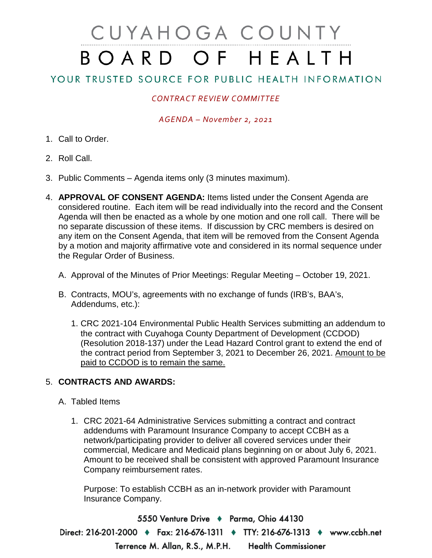# CUYAHOGA COUNTY BOARD OF HEALTH

## YOUR TRUSTED SOURCE FOR PUBLIC HEALTH INFORMATION

## *CONTRACT REVIEW COMMITTEE*

### *AGENDA – November 2, 2021*

- 1. Call to Order.
- 2. Roll Call.
- 3. Public Comments Agenda items only (3 minutes maximum).
- 4. **APPROVAL OF CONSENT AGENDA:** Items listed under the Consent Agenda are considered routine. Each item will be read individually into the record and the Consent Agenda will then be enacted as a whole by one motion and one roll call. There will be no separate discussion of these items. If discussion by CRC members is desired on any item on the Consent Agenda, that item will be removed from the Consent Agenda by a motion and majority affirmative vote and considered in its normal sequence under the Regular Order of Business.
	- A. Approval of the Minutes of Prior Meetings: Regular Meeting October 19, 2021.
	- B. Contracts, MOU's, agreements with no exchange of funds (IRB's, BAA's, Addendums, etc.):
		- 1. CRC 2021-104 Environmental Public Health Services submitting an addendum to the contract with Cuyahoga County Department of Development (CCDOD) (Resolution 2018-137) under the Lead Hazard Control grant to extend the end of the contract period from September 3, 2021 to December 26, 2021. Amount to be paid to CCDOD is to remain the same.

## 5. **CONTRACTS AND AWARDS:**

- A. Tabled Items
	- 1. CRC 2021-64 Administrative Services submitting a contract and contract addendums with Paramount Insurance Company to accept CCBH as a network/participating provider to deliver all covered services under their commercial, Medicare and Medicaid plans beginning on or about July 6, 2021. Amount to be received shall be consistent with approved Paramount Insurance Company reimbursement rates.

Purpose: To establish CCBH as an in-network provider with Paramount Insurance Company.

5550 Venture Drive + Parma, Ohio 44130 Direct: 216-201-2000 ♦ Fax: 216-676-1311 ♦ TTY: 216-676-1313 ♦ www.ccbh.net Terrence M. Allan, R.S., M.P.H. **Health Commissioner**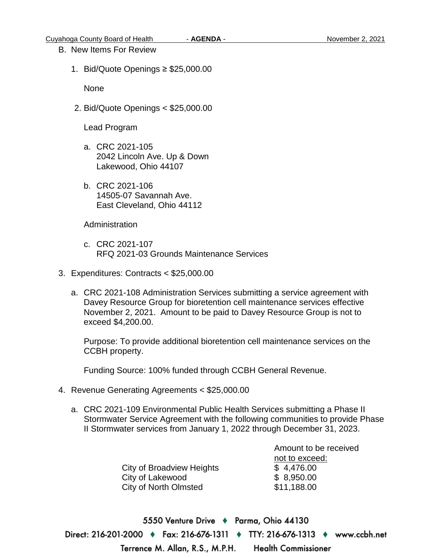#### B. New Items For Review

1. Bid/Quote Openings ≥ \$25,000.00

None

2. Bid/Quote Openings < \$25,000.00

Lead Program

- a. CRC 2021-105 2042 Lincoln Ave. Up & Down Lakewood, Ohio 44107
- b. CRC 2021-106 14505-07 Savannah Ave. East Cleveland, Ohio 44112

**Administration** 

- c. CRC 2021-107 RFQ 2021-03 Grounds Maintenance Services
- 3. Expenditures: Contracts < \$25,000.00
	- a. CRC 2021-108 Administration Services submitting a service agreement with Davey Resource Group for bioretention cell maintenance services effective November 2, 2021. Amount to be paid to Davey Resource Group is not to exceed \$4,200.00.

Purpose: To provide additional bioretention cell maintenance services on the CCBH property.

Funding Source: 100% funded through CCBH General Revenue.

- 4. Revenue Generating Agreements < \$25,000.00
	- a. CRC 2021-109 Environmental Public Health Services submitting a Phase II Stormwater Service Agreement with the following communities to provide Phase II Stormwater services from January 1, 2022 through December 31, 2023.

City of Broadview Heights  $$4,476.00$ <br>City of Lakewood  $$8,950.00$ City of Lakewood City of North Olmsted \$11,188.00

Amount to be received not to exceed:

5550 Venture Drive + Parma, Ohio 44130 Direct: 216-201-2000 ♦ Fax: 216-676-1311 ♦ TTY: 216-676-1313 ♦ www.ccbh.net **Health Commissioner** Terrence M. Allan, R.S., M.P.H.